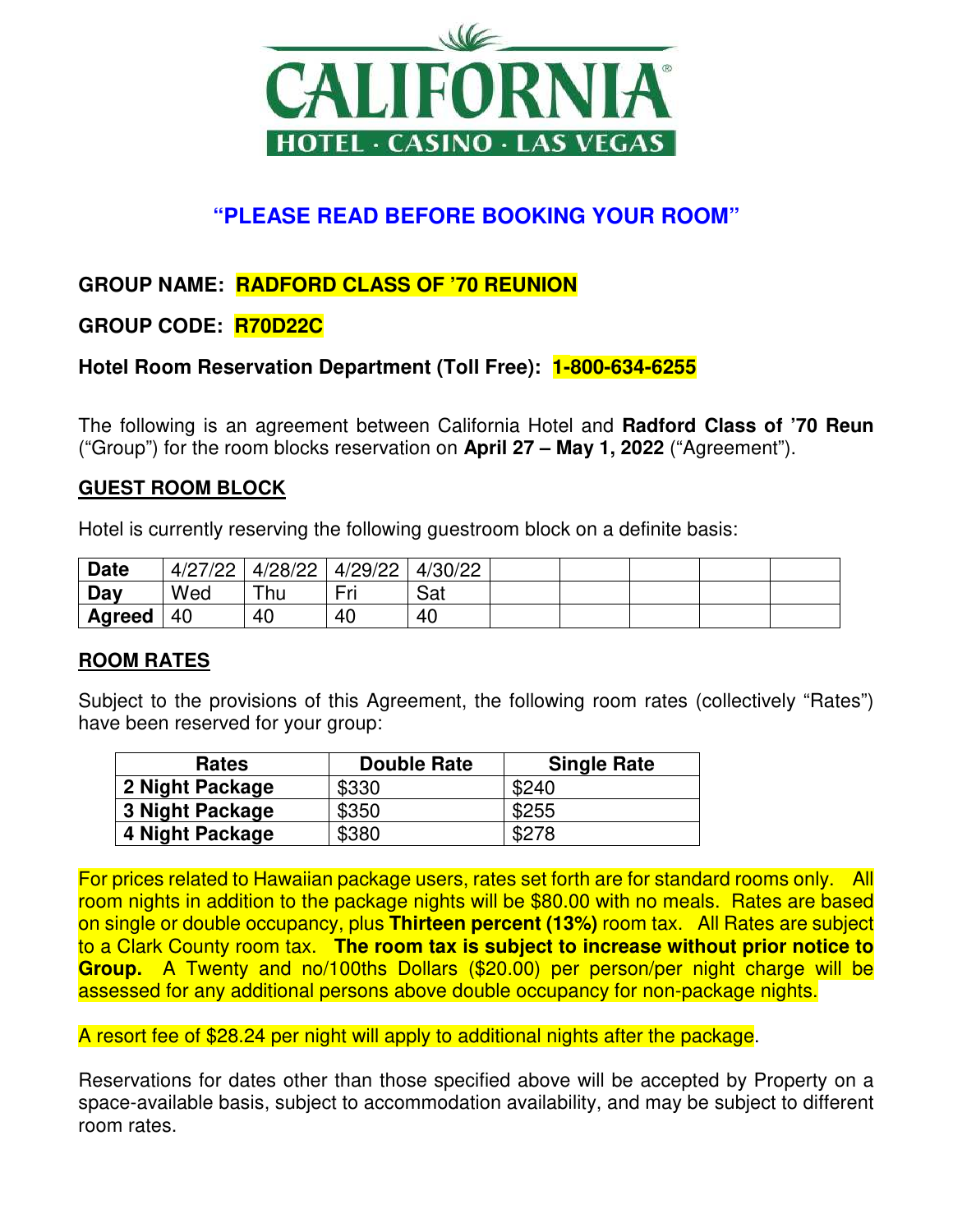

# **"PLEASE READ BEFORE BOOKING YOUR ROOM"**

# **GROUP NAME: RADFORD CLASS OF '70 REUNION**

## **GROUP CODE: R70D22C**

## **Hotel Room Reservation Department (Toll Free): 1-800-634-6255**

The following is an agreement between California Hotel and **Radford Class of '70 Reun** ("Group") for the room blocks reservation on **April 27 – May 1, 2022** ("Agreement").

#### **GUEST ROOM BLOCK**

Hotel is currently reserving the following guestroom block on a definite basis:

| <b>Date</b> | 4/27/22 | 4/28/22 | 4/29/22 | 4/30/22 |  |  |  |
|-------------|---------|---------|---------|---------|--|--|--|
| Day         | Wed     | ⊤hu     | Fri     | Sat     |  |  |  |
| Agreed      | 40      | 40      | 40      | 40      |  |  |  |

#### **ROOM RATES**

Subject to the provisions of this Agreement, the following room rates (collectively "Rates") have been reserved for your group:

| <b>Rates</b>    | <b>Double Rate</b> | <b>Single Rate</b> |
|-----------------|--------------------|--------------------|
| 2 Night Package | \$330              | \$240              |
| 3 Night Package | \$350              | \$255              |
| 4 Night Package | \$380              | \$278              |

For prices related to Hawaiian package users, rates set forth are for standard rooms only. All room nights in addition to the package nights will be \$80.00 with no meals. Rates are based on single or double occupancy, plus **Thirteen percent (13%)** room tax. All Rates are subject to a Clark County room tax. **The room tax is subject to increase without prior notice to Group.** A Twenty and no/100ths Dollars (\$20.00) per person/per night charge will be assessed for any additional persons above double occupancy for non-package nights.

A resort fee of \$28.24 per night will apply to additional nights after the package.

Reservations for dates other than those specified above will be accepted by Property on a space-available basis, subject to accommodation availability, and may be subject to different room rates.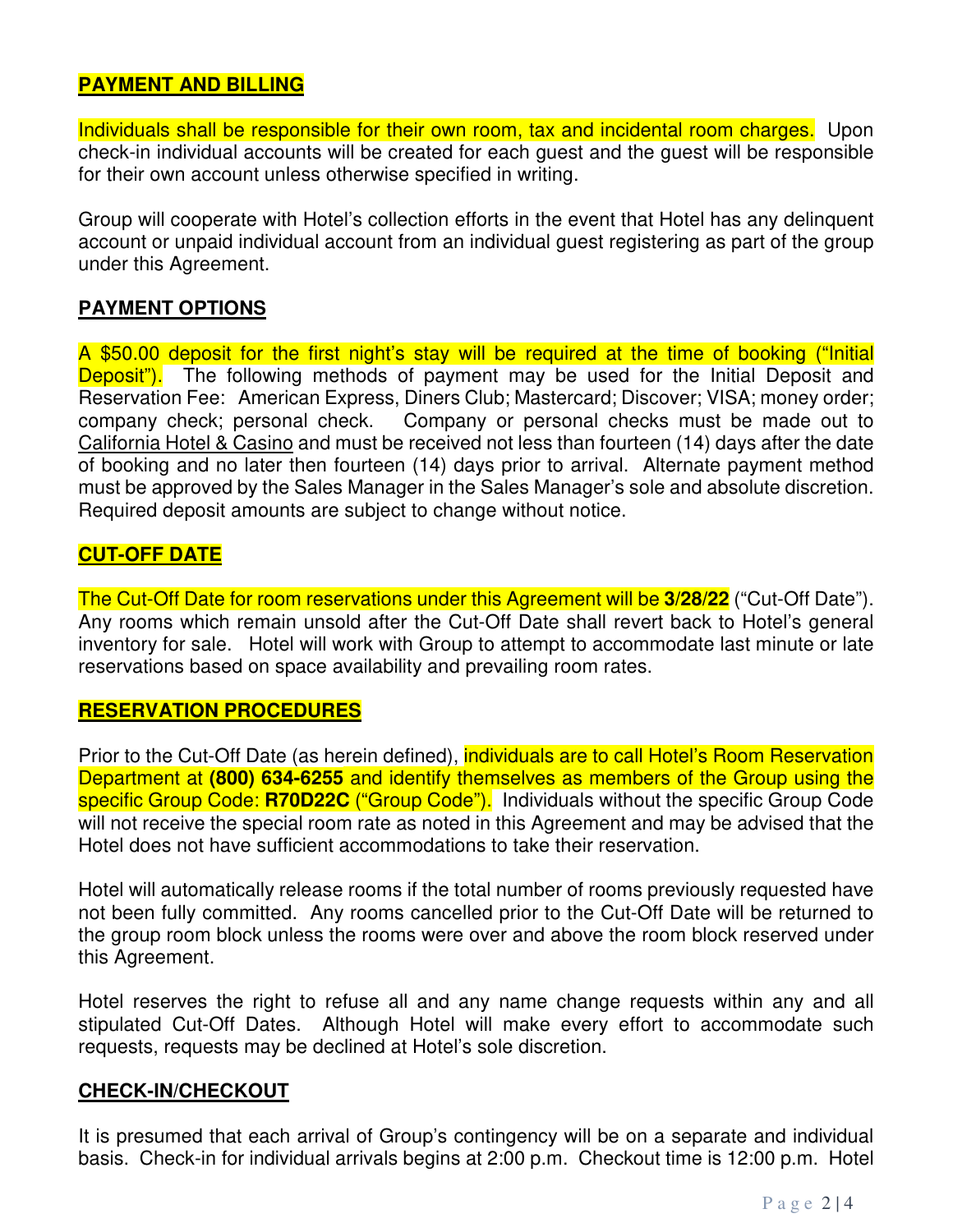#### **PAYMENT AND BILLING**

Individuals shall be responsible for their own room, tax and incidental room charges. Upon check-in individual accounts will be created for each guest and the guest will be responsible for their own account unless otherwise specified in writing.

Group will cooperate with Hotel's collection efforts in the event that Hotel has any delinquent account or unpaid individual account from an individual guest registering as part of the group under this Agreement.

## **PAYMENT OPTIONS**

A \$50.00 deposit for the first night's stay will be required at the time of booking ("Initial **Deposit").** The following methods of payment may be used for the Initial Deposit and Reservation Fee: American Express, Diners Club; Mastercard; Discover; VISA; money order; company check; personal check. Company or personal checks must be made out to California Hotel & Casino and must be received not less than fourteen (14) days after the date of booking and no later then fourteen (14) days prior to arrival. Alternate payment method must be approved by the Sales Manager in the Sales Manager's sole and absolute discretion. Required deposit amounts are subject to change without notice.

## **CUT-OFF DATE**

The Cut-Off Date for room reservations under this Agreement will be **3/28/22** ("Cut-Off Date"). Any rooms which remain unsold after the Cut-Off Date shall revert back to Hotel's general inventory for sale. Hotel will work with Group to attempt to accommodate last minute or late reservations based on space availability and prevailing room rates.

#### **RESERVATION PROCEDURES**

Prior to the Cut-Off Date (as herein defined), **individuals are to call Hotel's Room Reservation** Department at **(800) 634-6255** and identify themselves as members of the Group using the specific Group Code: **R70D22C** ("Group Code"). Individuals without the specific Group Code will not receive the special room rate as noted in this Agreement and may be advised that the Hotel does not have sufficient accommodations to take their reservation.

Hotel will automatically release rooms if the total number of rooms previously requested have not been fully committed. Any rooms cancelled prior to the Cut-Off Date will be returned to the group room block unless the rooms were over and above the room block reserved under this Agreement.

Hotel reserves the right to refuse all and any name change requests within any and all stipulated Cut-Off Dates. Although Hotel will make every effort to accommodate such requests, requests may be declined at Hotel's sole discretion.

#### **CHECK-IN/CHECKOUT**

It is presumed that each arrival of Group's contingency will be on a separate and individual basis. Check-in for individual arrivals begins at 2:00 p.m. Checkout time is 12:00 p.m. Hotel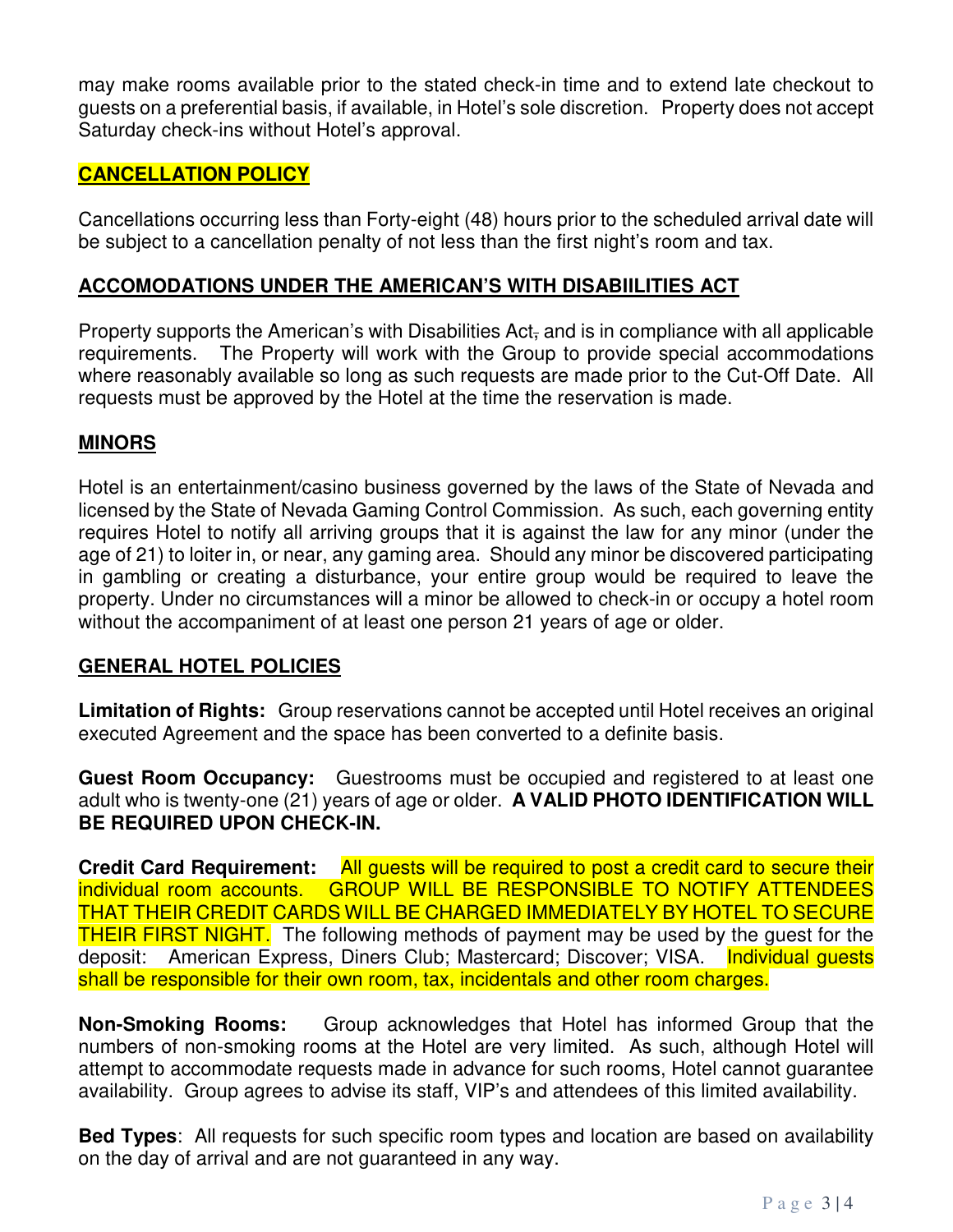may make rooms available prior to the stated check-in time and to extend late checkout to guests on a preferential basis, if available, in Hotel's sole discretion. Property does not accept Saturday check-ins without Hotel's approval.

## **CANCELLATION POLICY**

Cancellations occurring less than Forty-eight (48) hours prior to the scheduled arrival date will be subject to a cancellation penalty of not less than the first night's room and tax.

#### **ACCOMODATIONS UNDER THE AMERICAN'S WITH DISABIILITIES ACT**

Property supports the American's with Disabilities Act, and is in compliance with all applicable requirements. The Property will work with the Group to provide special accommodations where reasonably available so long as such requests are made prior to the Cut-Off Date. All requests must be approved by the Hotel at the time the reservation is made.

#### **MINORS**

Hotel is an entertainment/casino business governed by the laws of the State of Nevada and licensed by the State of Nevada Gaming Control Commission. As such, each governing entity requires Hotel to notify all arriving groups that it is against the law for any minor (under the age of 21) to loiter in, or near, any gaming area. Should any minor be discovered participating in gambling or creating a disturbance, your entire group would be required to leave the property. Under no circumstances will a minor be allowed to check-in or occupy a hotel room without the accompaniment of at least one person 21 years of age or older.

#### **GENERAL HOTEL POLICIES**

**Limitation of Rights:** Group reservations cannot be accepted until Hotel receives an original executed Agreement and the space has been converted to a definite basis.

**Guest Room Occupancy:** Guestrooms must be occupied and registered to at least one adult who is twenty-one (21) years of age or older. **A VALID PHOTO IDENTIFICATION WILL BE REQUIRED UPON CHECK-IN.**

**Credit Card Requirement:** All guests will be required to post a credit card to secure their individual room accounts. GROUP WILL BE RESPONSIBLE TO NOTIFY ATTENDEES THAT THEIR CREDIT CARDS WILL BE CHARGED IMMEDIATELY BY HOTEL TO SECURE THEIR FIRST NIGHT. The following methods of payment may be used by the guest for the deposit: American Express, Diners Club; Mastercard; Discover; VISA. Individual guests shall be responsible for their own room, tax, incidentals and other room charges.

**Non-Smoking Rooms:** Group acknowledges that Hotel has informed Group that the numbers of non-smoking rooms at the Hotel are very limited. As such, although Hotel will attempt to accommodate requests made in advance for such rooms, Hotel cannot guarantee availability. Group agrees to advise its staff, VIP's and attendees of this limited availability.

**Bed Types**: All requests for such specific room types and location are based on availability on the day of arrival and are not guaranteed in any way.